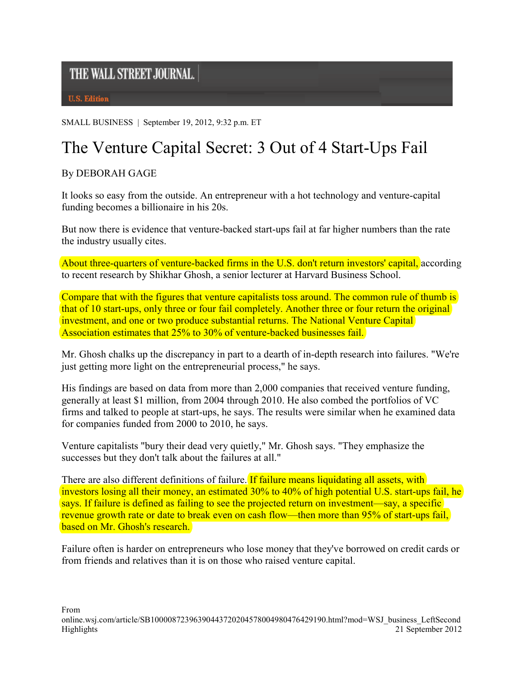## THE WALL STREET JOURNAL.

**U.S. Edition** 

SMALL BUSINESS | September 19, 2012, 9:32 p.m. ET

## The Venture Capital Secret: 3 Out of 4 Start-Ups Fail

By DEBORAH GAGE

It looks so easy from the outside. An entrepreneur with a hot technology and venture-capital funding becomes a billionaire in his 20s.

But now there is evidence that venture-backed start-ups fail at far higher numbers than the rate the industry usually cites.

About three-quarters of venture-backed firms in the U.S. don't return investors' capital, according to recent research by Shikhar Ghosh, a senior lecturer at Harvard Business School.

Compare that with the figures that venture capitalists toss around. The common rule of thumb is that of 10 start-ups, only three or four fail completely. Another three or four return the original investment, and one or two produce substantial returns. The National Venture Capital Association estimates that 25% to 30% of venture-backed businesses fail.

Mr. Ghosh chalks up the discrepancy in part to a dearth of in-depth research into failures. "We're just getting more light on the entrepreneurial process," he says.

His findings are based on data from more than 2,000 companies that received venture funding, generally at least \$1 million, from 2004 through 2010. He also combed the portfolios of VC firms and talked to people at start-ups, he says. The results were similar when he examined data for companies funded from 2000 to 2010, he says.

Venture capitalists "bury their dead very quietly," Mr. Ghosh says. "They emphasize the successes but they don't talk about the failures at all."

There are also different definitions of failure. If failure means liquidating all assets, with investors losing all their money, an estimated 30% to 40% of high potential U.S. start-ups fail, he says. If failure is defined as failing to see the projected return on investment—say, a specific revenue growth rate or date to break even on cash flow—then more than 95% of start-ups fail. based on Mr. Ghosh's research.

Failure often is harder on entrepreneurs who lose money that they've borrowed on credit cards or from friends and relatives than it is on those who raised venture capital.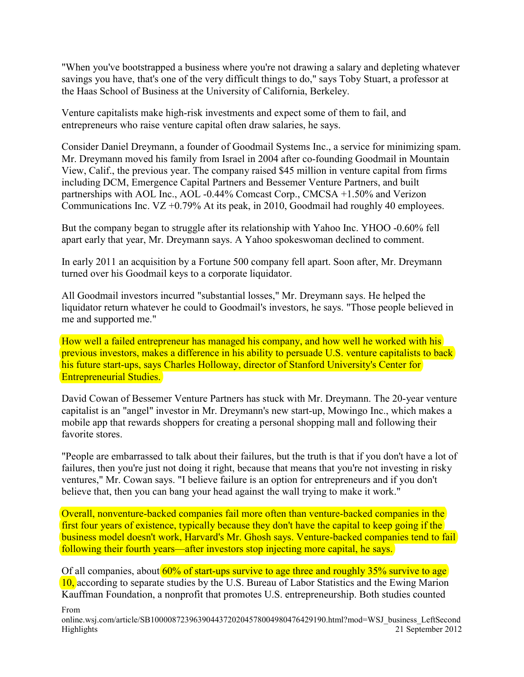"When you've bootstrapped a business where you're not drawing a salary and depleting whatever savings you have, that's one of the very difficult things to do," says Toby Stuart, a professor at the Haas School of Business at the University of California, Berkeley.

Venture capitalists make high-risk investments and expect some of them to fail, and entrepreneurs who raise venture capital often draw salaries, he says.

Consider Daniel Dreymann, a founder of Goodmail Systems Inc., a service for minimizing spam. Mr. Dreymann moved his family from Israel in 2004 after co-founding Goodmail in Mountain View, Calif., the previous year. The company raised \$45 million in venture capital from firms including DCM, Emergence Capital Partners and Bessemer Venture Partners, and built partnerships with AOL Inc., AOL -0.44% Comcast Corp., CMCSA +1.50% and Verizon Communications Inc. VZ +0.79% At its peak, in 2010, Goodmail had roughly 40 employees.

But the company began to struggle after its relationship with Yahoo Inc. YHOO -0.60% fell apart early that year, Mr. Dreymann says. A Yahoo spokeswoman declined to comment.

In early 2011 an acquisition by a Fortune 500 company fell apart. Soon after, Mr. Dreymann turned over his Goodmail keys to a corporate liquidator.

All Goodmail investors incurred "substantial losses," Mr. Dreymann says. He helped the liquidator return whatever he could to Goodmail's investors, he says. "Those people believed in me and supported me."

How well a failed entrepreneur has managed his company, and how well he worked with his previous investors, makes a difference in his ability to persuade U.S. venture capitalists to back his future start-ups, says Charles Holloway, director of Stanford University's Center for Entrepreneurial Studies.

David Cowan of Bessemer Venture Partners has stuck with Mr. Dreymann. The 20-year venture capitalist is an "angel" investor in Mr. Dreymann's new start-up, Mowingo Inc., which makes a mobile app that rewards shoppers for creating a personal shopping mall and following their favorite stores.

"People are embarrassed to talk about their failures, but the truth is that if you don't have a lot of failures, then you're just not doing it right, because that means that you're not investing in risky ventures," Mr. Cowan says. "I believe failure is an option for entrepreneurs and if you don't believe that, then you can bang your head against the wall trying to make it work."

Overall, nonventure-backed companies fail more often than venture-backed companies in the first four years of existence, typically because they don't have the capital to keep going if the business model doesn't work, Harvard's Mr. Ghosh says. Venture-backed companies tend to fail following their fourth years—after investors stop injecting more capital, he says.

Of all companies, about  $60\%$  of start-ups survive to age three and roughly 35% survive to age 10, according to separate studies by the U.S. Bureau of Labor Statistics and the Ewing Marion Kauffman Foundation, a nonprofit that promotes U.S. entrepreneurship. Both studies counted

From

online.wsj.com/article/SB10000872396390443720204578004980476429190.html?mod=WSJ\_business\_LeftSecond Highlights 21 September 2012